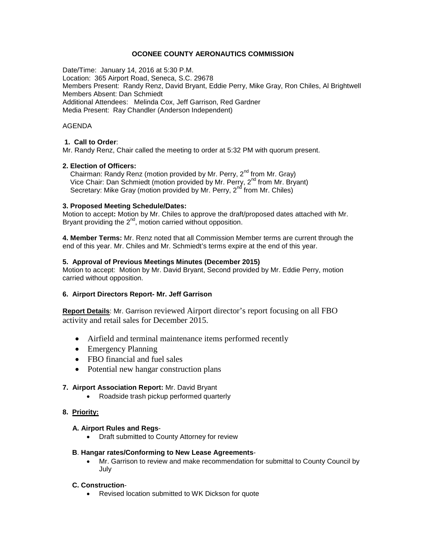# **OCONEE COUNTY AERONAUTICS COMMISSION**

Date/Time: January 14, 2016 at 5:30 P.M. Location: 365 Airport Road, Seneca, S.C. 29678 Members Present: Randy Renz, David Bryant, Eddie Perry, Mike Gray, Ron Chiles, Al Brightwell Members Absent: Dan Schmiedt Additional Attendees: Melinda Cox, Jeff Garrison, Red Gardner Media Present: Ray Chandler (Anderson Independent)

### AGENDA

# **1. Call to Order**:

Mr. Randy Renz, Chair called the meeting to order at 5:32 PM with quorum present.

# **2. Election of Officers:**

Chairman: Randy Renz (motion provided by Mr. Perry,  $2^{nd}$  from Mr. Gray) Vice Chair: Dan Schmiedt (motion provided by Mr. Perry, 2<sup>nd</sup> from Mr. Bryant) Secretary: Mike Gray (motion provided by Mr. Perry, 2<sup>nd</sup> from Mr. Chiles)

### **3. Proposed Meeting Schedule/Dates:**

Motion to accept**:** Motion by Mr. Chiles to approve the draft/proposed dates attached with Mr. Bryant providing the  $2^{nd}$ , motion carried without opposition.

**4. Member Terms:** Mr. Renz noted that all Commission Member terms are current through the end of this year. Mr. Chiles and Mr. Schmiedt's terms expire at the end of this year.

# **5. Approval of Previous Meetings Minutes (December 2015)**

Motion to accept: Motion by Mr. David Bryant, Second provided by Mr. Eddie Perry, motion carried without opposition.

### **6. Airport Directors Report- Mr. Jeff Garrison**

**Report Details**: Mr. Garrison reviewed Airport director's report focusing on all FBO activity and retail sales for December 2015.

- Airfield and terminal maintenance items performed recently
- Emergency Planning
- FBO financial and fuel sales
- Potential new hangar construction plans

### **7. Airport Association Report:** Mr. David Bryant

• Roadside trash pickup performed quarterly

# **8. Priority:**

### **A. Airport Rules and Regs**-

• Draft submitted to County Attorney for review

### **B**. **Hangar rates/Conforming to New Lease Agreements**-

• Mr. Garrison to review and make recommendation for submittal to County Council by July

# **C. Construction**-

• Revised location submitted to WK Dickson for quote